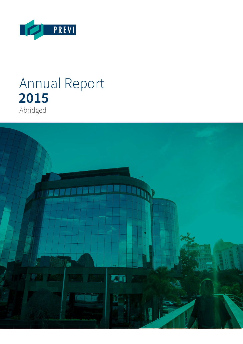

# Annual Report **2015** Abridged

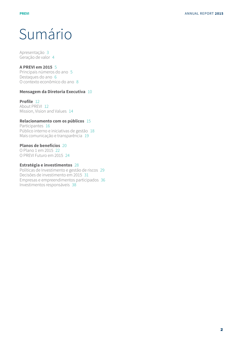# Sumário

Apresentação 3 Geração de valor 4

#### **A PREVI em 2015** 5

Principais números do ano 5 Destaques do ano 6 O contexto econômico do ano 8

### **Mensagem da Diretoria Executiva** 10

### **Profile** 12

About PREVI 12 Mission, Vision and Values 14

### **Relacionamento com os públicos** 15

Participantes 16 Público interno e iniciativas de gestão 18 Mais comunicação e transparência 19

### **Planos de benefícios** 20

O Plano 1 em 2015 22 O PREVI Futuro em 2015 24

### **Estratégia e investimentos** 28

Políticas de Investimento e gestão de riscos 29 Decisões de investimento em 2015 31 Empresas e empreendimentos participados 36 Investimentos responsáveis 38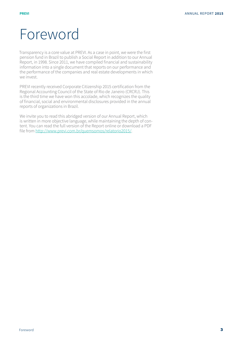# Foreword

Transparency is a core value at PREVI. As a case in point, we were the first pension fund in Brazil to publish a Social Report in addition to our Annual Report, in 1998. Since 2011, we have compiled financial and sustainability information into a single document that reports on our performance and the performance of the companies and real estate developments in which we invest.

PREVI recently received Corporate Citizenship 2015 certification from the Regional Accounting Council of the State of Rio de Janeiro (CRCRJ). This is the third time we have won this accolade, which recognizes the quality of financial, social and environmental disclosures provided in the annual reports of organizations in Brazil.

We invite you to read this abridged version of our Annual Report, which is written in more objective language, while maintaining the depth of content. You can read the full version of the Report online or download a PDF file from http://www.previ.com.br/quemsomos/relatorio2015/.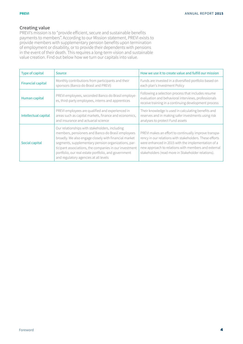### **Creating value**

PREVI's mission is to "provide efficient, secure and sustainable benefits payments to members". According to our Mission statement, PREVI exists to provide members with supplementary pension benefits upon termination of employment or disability, or to provide their dependents with pensions in the event of their death. This requires a long-term vision and sustainable value creation. Find out below how we turn our capitals into value.

| Type of capital          | Source                                                                                                                                                                                                                                                                                                                                                                         | How we use it to create value and fulfill our mission                                                                                                                                                                                                                               |
|--------------------------|--------------------------------------------------------------------------------------------------------------------------------------------------------------------------------------------------------------------------------------------------------------------------------------------------------------------------------------------------------------------------------|-------------------------------------------------------------------------------------------------------------------------------------------------------------------------------------------------------------------------------------------------------------------------------------|
| <b>Financial capital</b> | Monthly contributions from participants and their<br>sponsors (Banco do Brasil and PREVI)                                                                                                                                                                                                                                                                                      | Funds are invested in a diversified portfolio based on<br>each plan's Investment Policy                                                                                                                                                                                             |
| Human capital            | PREVI employees, seconded Banco do Brasil employe-<br>es, third-party employees, interns and apprentices                                                                                                                                                                                                                                                                       | Following a selection process that includes resume<br>evaluation and behavioral interviews, professionals<br>receive training in a continuing development process                                                                                                                   |
| Intellectual capital     | PREVI employees are qualified and experienced in<br>areas such as capital markets, finance and economics,<br>and insurance and actuarial science                                                                                                                                                                                                                               | Their knowledge is used in calculating benefits and<br>reserves and in making safer investments using risk<br>analyses to protect Fund assets                                                                                                                                       |
| Social capital           | Our relationships with stakeholders, including<br>members, pensioners and Banco do Brasil employees<br>broadly. We also engage closely with financial market<br>segments, supplementary pension organizations, par-<br>ticipant associations, the companies in our investment<br>portfolio, our real estate portfolio, and government<br>and regulatory agencies at all levels | PREVI makes an effort to continually improve transpa-<br>rency in our relations with stakeholders. These efforts<br>were enhanced in 2015 with the implementation of a<br>new approach to relations with members and external<br>stakeholders (read more in Stakeholder relations). |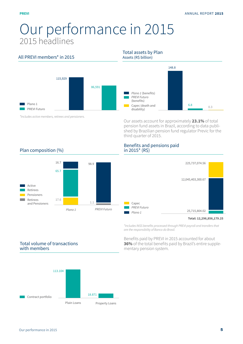# Our performance in 2015 2015 headlines

### All PREVI members\* in 2015



*\*Includes active members, retirees and pensioners.*

### Total assets by Plan

Assets (R\$ billion)



Our assets account for approximately **23.1%** of total pension fund assets in Brazil, according to data published by Brazilian pension fund regulator Previc for the third quarter of 2015.

### Plan composition (%)



### Benefits and pensions paid in 2015\* (R\$)



**Total: 12,296,856,179.25** 

\*Includes INSS benefits processed through PREVI payroll and transfers that are the responsibility of Banco do Brasil.

Benefits paid by PREVI in 2015 accounted for about **36%** of the total benefits paid by Brazil's entire supplementary pension system.

### Total volume of transactions with members

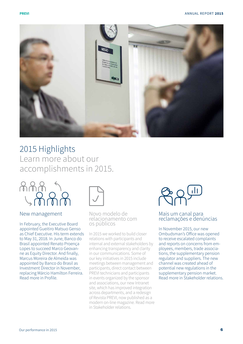

# 2015 Highlights Learn more about our accomplishments in 2015.



### New management

In February, the Executive Board appointed Gueitiro Matsuo Genso as Chief Executive. His term extends to May 31, 2018. In June, Banco do Brasil appointed Renato Proença Lopes to succeed Marco Geovanne as Equity Director. And finally, Marcus Moreira de Almeida was appointed by Banco do Brasil as Investment Director in November, replacing Márcio Hamilton Ferreira. Read more in Profile.



Novo modelo de relacionamento com os públicos

In 2015 we worked to build closer relations with participants and internal and external stakeholders by enhancing transparency and clarity in our communications. Some of our key initiatives in 2015 include meetings between management and participants, direct contact between PREVI technicians and participants in events organized by the sponsor and associations, our new Intranet site, which has improved integration across departments, and a redesign of Revista PREVI, now published as a modern on-line magazine. Read more in Stakeholder relations.

### Mais um canal para reclamações e denúncias

In November 2015, our new Ombudsman's Office was opened to receive escalated complaints and reports on concerns from employees, members, trade associations, the supplementary pension regulator and suppliers. The new channel was created ahead of potential new regulations in the supplementary pension market. Read more in Stakeholder relations.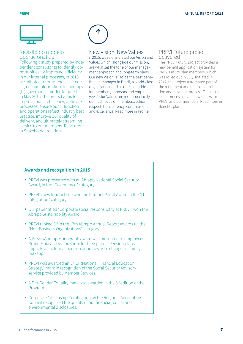

### Revisão do modelo operacional de TI

Following a study prepared by independent consultants to identify opportunities for improved efficiency in our internal processes, in 2015 we initiated a comprehensive redesign of our Information-Technology (IT) governance model. Initiated in May 2015, the project aims to improve our IT efficiency, optimize processes, ensure our IT function and operations reflect industry best practice, improve our quality of delivery, and ultimately streamline service to our members. Read more in Stakeholder relations.



### New Vision, New Values

n 2015, we reformulated our Vision and Values which, alongside our Mission, are what set the tone of our management approach and long-term plans. Our new Vision is "To be the best benefit plan manager in Brazil, a world-class organization, and a source of pride for members, sponsors and employees." Our Values are more succinctly defined: focus on members, ethics, respect, transparency, commitment and excellence. Read more in Profile.

### PREVI Futuro project delivered

The PREVI Futuro project provided a new benefit application system for PREVI Futuro plan members, which was rolled out in July. Initiated in 2012, the project automated part of the retirement and pension application and payment process. The result: faster processing and fewer risks for PREVI and our members. Read more in Benefits plan.

### **Awards and recognition in 2015**

- PREVI was presented with an Abrapp National Social Security Award, in the "Governance" category
- PREVI's new Intranet site won the Intranet Portal Award in the "IT Integration" category.
- Our paper titled "Corporate social responsibility at PREVI" won the Abrapp Sustainability Award.
- PREVI ranked 3rd in the 17th Abrapp Annual Report Awards (in the "Non-Business Organizations" category).
- A Previc/Abrapp Monograph award was presented to employees Bruno Maia and Victor Sodré for their paper "Pension plans: impacts on actuarial pension annuities from changes in family makeup."
- PREVI was awarded an ENEF (National Financial Education Strategy) mark in recognition of the Social Security Advisory service provided by Member Services.
- A Pro-Gender Equality mark was awarded in the  $5<sup>th</sup>$  edition of the Program.
- Corporate Citizenship Certification by the Regional Accounting Council recognized the quality of our financial, social and environmental disclosures.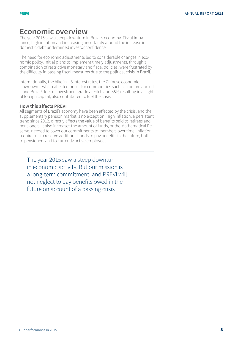### **Economic overview**

The year 2015 saw a steep downturn in Brazil's economy. Fiscal imbalance, high inflation and increasing uncertainty around the increase in domestic debt undermined investor confidence.

The need for economic adjustments led to considerable changes in economic policy. Initial plans to implement timely adjustments, through a combination of restrictive monetary and fiscal policies, were frustrated by the difficulty in passing fiscal measures due to the political crisis in Brazil.

Internationally, the hike in US interest rates, the Chinese economic slowdown – which affected prices for commodities such as iron ore and oil – and Brazil's loss of investment grade at Fitch and S&P, resulting in a flight of foreign capital, also contributed to fuel the crisis.

### **How this affects PREVI**

All segments of Brazil's economy have been affected by the crisis, and the supplementary pension market is no exception. High inflation, a persistent trend since 2012, directly affects the value of benefits paid to retirees and pensioners. It also increases the amount of funds, or the Mathematical Reserve, needed to cover our commitments to members over time. Inflation requires us to reserve additional funds to pay benefits in the future, both to pensioners and to currently active employees.

The year 2015 saw a steep downturn in economic activity. But our mission is a long-term commitment, and PREVI will not neglect to pay benefits owed in the future on account of a passing crisis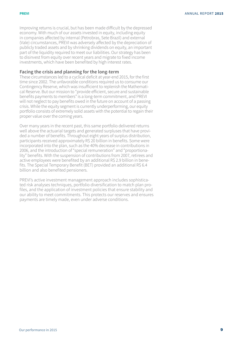Improving returns is crucial, but has been made difficult by the depressed economy. With much of our assets invested in equity, including equity in companies affected by internal (Petrobras, Sete Brazil) and external (Vale) circumstances, PREVI was adversely affected by the depreciation of publicly traded assets and by shrinking dividends on equity, an important part of the liquidity required to meet our liabilities. Our strategy has been to disinvest from equity over recent years and migrate to fixed income investments, which have been benefited by high interest rates.

### **Facing the crisis and planning for the long-term**

These circumstances led to a cyclical deficit at year-end 2015, for the first time since 2002. The unfavorable conditions required us to consume our Contingency Reserve, which was insufficient to replenish the Mathematical Reserve. But our mission to "provide efficient, secure and sustainable benefits payments to members" is a long-term commitment, and PREVI will not neglect to pay benefits owed in the future on account of a passing crisis. While the equity segment is currently underperforming, our equity portfolio consists of extremely solid assets with the potential to regain their proper value over the coming years.

Over many years in the recent past, this same portfolio delivered returns well above the actuarial targets and generated surpluses that have provided a number of benefits. Throughout eight years of surplus distribution, participants received approximately R\$ 20 billion in benefits. Some were incorporated into the plan, such as the 40% decrease in contributions in 2006, and the introduction of "special remuneration" and "proportionality" benefits. With the suspension of contributions from 2007, retirees and active employees were benefited by an additional R\$ 2.9 billion in benefits. The Special Temporary Benefit (BET) provided an additional R\$ 6.4 billion and also benefited pensioners.

PREVI's active investment management approach includes sophisticated risk analyses techniques, portfolio diversification to match plan profiles, and the application of investment policies that ensure stability and our ability to meet commitments. This protects our reserves and ensures payments are timely made, even under adverse conditions.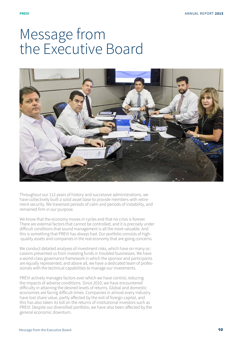# Message from the Executive Board



Throughout our 112 years of history and successive administrations, we have collectively built a solid asset base to provide members with retirement security. We traversed periods of calm and periods of instability, and remained firm in our purpose.

We know that the economy moves in cycles and that no crisis is forever. There are external factors that cannot be controlled, and it is precisely under difficult conditions that sound management is all the more valuable. And this is something that PREVI has always had. Our portfolio consists of high- -quality assets and companies in the real economy that are going concerns.

We conduct detailed analyses of investment risks, which have on many occasions prevented us from investing funds in troubled businesses. We have a world-class governance framework in which the sponsor and participants are equally represented, and above all, we have a dedicated team of professionals with the technical capabilities to manage our investments.

PREVI actively manages factors over which we have control, reducing the impacts of adverse conditions. Since 2010, we have encountered difficulty in attaining the desired levels of returns. Global and domestic economies are facing difficult times. Companies in almost every industry have lost share value, partly affected by the exit of foreign capital, and this has also taken its toll on the returns of institutional investors such as PREVI. Despite our diversified portfolio, we have also been affected by the general economic downturn.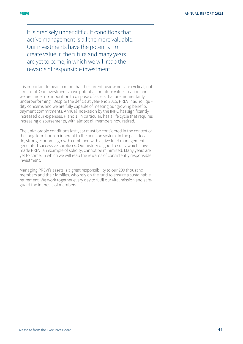It is precisely under difficult conditions that active management is all the more valuable. Our investments have the potential to create value in the future and many years are yet to come, in which we will reap the rewards of responsible investment

It is important to bear in mind that the current headwinds are cyclical, not structural. Our investments have potential for future value creation and we are under no imposition to dispose of assets that are momentarily underperforming. Despite the deficit at year-end 2015, PREVI has no liquidity concerns and we are fully capable of meeting our growing benefits payment commitments. Annual indexation by the INPC has significantly increased our expenses. Plano 1, in particular, has a life cycle that requires increasing disbursements, with almost all members now retired.

The unfavorable conditions last year must be considered in the context of the long-term horizon inherent to the pension system. In the past decade, strong economic growth combined with active fund management generated successive surpluses. Our history of good results, which have made PREVI an example of solidity, cannot be minimized. Many years are yet to come, in which we will reap the rewards of consistently responsible investment.

Managing PREVI's assets is a great responsibility to our 200 thousand members and their families, who rely on the fund to ensure a sustainable retirement. We work together every day to fulfil our vital mission and safeguard the interests of members.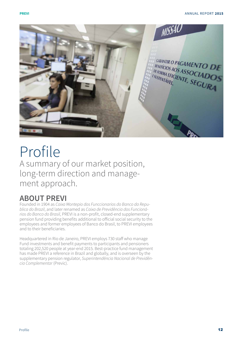

# Profile A summary of our market position, long-term direction and management approach.

## **ABOUT PREVI**

Founded in 1904 as Caixa Montepio dos Funccionarios do Banco da Republica do Brazil, and later renamed as Caixa de Previdência dos Funcionários do Banco do Brasil, PREVI is a non-profit, closed-end supplementary pension fund providing benefits additional to official social security to the employees and former employees of Banco do Brasil, to PREVI employees and to their beneficiaries.

Headquartered in Rio de Janeiro, PREVI employs 730 staff who manage Fund investments and benefit payments to participants and pensioners totaling 202,520 people at year-end 2015. Best-practice fund management has made PREVI a reference in Brazil and globally, and is overseen by the supplementary pension regulator, Superintendência Nacional de Previdên*cia Complementar* (Previc).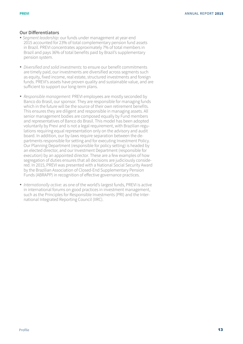### **Our Differentiators**

- Segment leadership: our funds under management at year-end 2015 accounted for 23% of total complementary pension fund assets in Brazil. PREVI concentrates approximately 7% of total members in Brazil and pays 36% of total benefits paid by Brazil's supplementary pension system.
- Diversified and solid investments: to ensure our benefit commitments are timely paid, our investments are diversified across segments such as equity, fixed income, real estate, structured investments and foreign funds. PREVI's assets have proven quality and sustainable value, and are sufficient to support our long-term plans.
- Responsible management: PREVI employees are mostly seconded by Banco do Brasil, our sponsor. They are responsible for managing funds which in the future will be the source of their own retirement benefits. This ensures they are diligent and responsible in managing assets. All senior management bodies are composed equally by Fund members and representatives of Banco do Brasil. This model has been adopted voluntarily by Previ and is not a legal requirement, with Brazilian regulations requiring equal representation only on the advisory and audit board. In addition, our by-laws require separation between the departments responsible for setting and for executing Investment Policy. Our Planning Department (responsible for policy setting) is headed by an elected director, and our Investment Department (responsible for execution) by an appointed director. These are a few examples of how segregation of duties ensures that all decisions are judiciously considered. In 2015, PREVI was presented with a National Social Security Award by the Brazilian Association of Closed-End Supplementary Pension Funds (ABRAPP) in recognition of effective governance practices.
- Internationally active: as one of the world's largest funds, PREVI is active in international forums on good practices in investment management, such as the Principles for Responsible Investments (PRI) and the International Integrated Reporting Council (IIRC).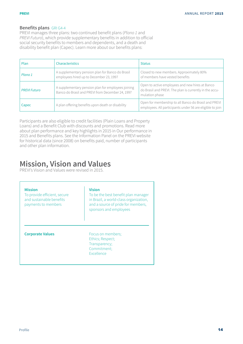### **Benefits plans** GRI G4-4

PREVI manages three plans: two continued benefit plans (Plano 1 and PREVI Futuro), which provide supplementary benefits in addition to official social security benefits to members and dependents, and a death and disability benefit plan (Capec). Learn more about our benefits plans:

| Plan                | Characteristics                                                                                        | <b>Status</b>                                                                                                                |
|---------------------|--------------------------------------------------------------------------------------------------------|------------------------------------------------------------------------------------------------------------------------------|
| Plano 1             | A supplementary pension plan for Banco do Brasil<br>employees hired up to December 23, 1997            | Closed to new members. Approximately 80%<br>of members have vested benefits                                                  |
| <b>PREVI Futuro</b> | A supplementary pension plan for employees joining<br>Banco do Brasil and PREVI from December 24, 1997 | Open to active employees and new hires at Banco<br>do Brasil and PREVI. The plan is currently in the accu-<br>mulation phase |
| Capec               | A plan offering benefits upon death or disability                                                      | Open for membership to all Banco do Brasil and PREVI<br>employees. All participants under 56 are eligible to join            |

Participants are also eligible to credit facilities (Plain Loans and Property Loans) and a Benefit Club with discounts and promotions. Read more about plan performance and key highlights in 2015 in Our performance in 2015 and Benefits plans. See the Information Panel on the PREVI website for historical data (since 2008) on benefits paid, number of participants and other plan information.

## **Mission, Vision and Values**

PREVI's Vision and Values were revised in 2015.

| <b>Mission</b><br>To provide efficient, secure<br>and sustainable benefits<br>payments to members | <b>Vision</b><br>To be the best benefit plan manager<br>in Brazil, a world-class organization,<br>and a source of pride for members,<br>sponsors and employees |
|---------------------------------------------------------------------------------------------------|----------------------------------------------------------------------------------------------------------------------------------------------------------------|
| <b>Corporate Values</b>                                                                           | Focus on members;<br>Ethics; Respect;<br>Transparency;<br>Commitment:<br><b>Excellence</b>                                                                     |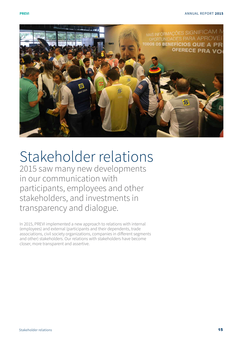

# Stakeholder relations

2015 saw many new developments in our communication with participants, employees and other stakeholders, and investments in transparency and dialogue.

In 2015, PREVI implemented a new approach to relations with internal (employees) and external (participants and their dependents, trade associations, civil society organizations, companies in different segments and other) stakeholders. Our relations with stakeholders have become closer, more transparent and assertive.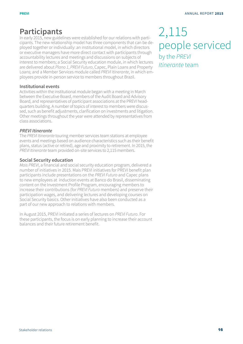### **Participants**

In early 2015, new guidelines were established for our relations with participants. The new relationship model has three components that can be deployed together or individually: an institutional model, in which directors or executive managers have more direct contact with participants through accountability lectures and meetings and discussions on subjects of interest to members; a Social Security education module, in which lectures are delivered about Plano 1, PREVI Futuro, Capec, Plain Loans and Property Loans; and a Member Services module called PREVI Itinerante, in which employees provide in-person service to members throughout Brazil.

### **Institutional events**

Activities within the institutional module began with a meeting in March between the Executive Board, members of the Audit Board and Advisory Board, and representatives of participant associations at the PREVI headquarters building. A number of topics of interest to members were discussed, such as benefit adjustments, clarification on investments and litigation. Other meetings throughout the year were attended by representatives from class associations.

### *PREVI Itinerante*

The PREVI Itinerante touring member services team stations at employee events and meetings based on audience characteristics such as their benefit plans, status (active or retired), age and proximity to retirement. In 2015, the PREVI Itinerante team provided on-site services to 2,115 members.

### **Social Security education**

Mais PREVI, a financial and social security education program, delivered a number of initiatives in 2015. Mais PREVI initiatives for PREVI benefit plan participants include presentations on the PREVI Futuro and Capec plans to new employees at induction events at Banco do Brasil, disseminating content on the Investment Profile Program, encouraging members to increase their contributions (for PREVI Futuro members) and preserve their participation wages, and delivering lectures and developing courses on Social Security basics. Other initiatives have also been conducted as a part of our new approach to relations with members.

In August 2015, PREVI initiated a series of lectures on PREVI Futuro. For these participants, the focus is on early planning to increase their account balances and their future retirement benefit.

2,115 people serviced by the PREVI *Itinerante* team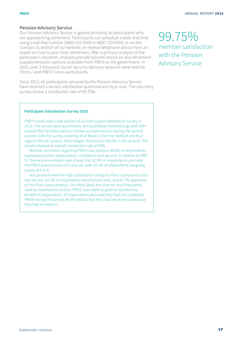### **Pension Advisory Service**

Our Pension Advisory Service is geared primarily to participants who are approaching retirement. Participants can schedule a date and time using a toll-free number (0800 031 0505 or 0800 729 0505) or via the Contact Us section of our website, to receive telephone advice from an expert on how to plan their retirement. After a primary analysis of the participan's situation, analysts provide tailored advice on any retirement supplementation options available from PREVI or the government. In 2015, over 3 thousand Social Security advisory sessions were held for Plano 1 and PREVI Futuro participants.

Since 2013, all participants serviced by the Pension Advisory Service have received a service satisfaction questionnaire by e-mail. The voluntary survey shows a satisfaction rate of 99.75%.

### **Participant Satisfaction Survey 2015**

PREVI conducted a new edition of our Participant Satisfaction Survey in 2015. The survey used quantitative and qualitative methodology and interviewed 959 members (active, retirees and pensioners) during the second quarter, with the survey covering all of Brazil in the first method and four regions (Rio de Janeiro, Porto Alegre, Brasília and Recife) in the second. The results showed an overall satisfaction rate of 59%.

Member sentiment regarding PREVI was positive. 80.9% of respondents expressed positive expectations, confidence and security in relation to PRE-VI. The recommendation rate shows that 52.5% of respondents promote the PREVI brand (scores of 9 and 10), with 10.1% of respondents assigning scores of 0 to 6.

Also positive were the high satisfaction ratings for Plain Loans and customer service. 92.1% of respondents were familiar with, and 87.7% approved of, the Plain Loans product. Our Help Desk, the channel most frequently used by members to contact PREVI, was rated as good or excellent by 80.96% of respondents. Of respondents who said they had not contacted PREVI during the period, 86.4% replied that they had not done so because they had no need to.

99.75% member satisfaction with the Pension Advisory Service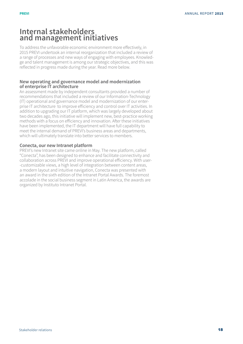### **Internal stakeholders and management initiatives**

To address the unfavorable economic environment more effectively, in 2015 PREVI undertook an internal reorganization that included a review of a range of processes and new ways of engaging with employees. Knowledge and talent management is among our strategic objectives, and this was reflected in progress made during the year. Read more below.

### **New operating and governance model and modernization of enterprise IT architecture**

An assessment made by independent consultants provided a number of recommendations that included a review of our Information-Technology (IT) operational and governance model and modernization of our enterprise IT architecture to improve efficiency and control over IT activities. In addition to upgrading our IT platform, which was largely developed about two decades ago, this initiative will implement new, best-practice working methods with a focus on efficiency and innovation. After these initiatives have been implemented, the IT department will have full capability to meet the internal demand of PREVI's business areas and departments, which will ultimately translate into better services to members.

### **Conecta, our new Intranet platform**

PREVI's new Intranet site came online in May. The new platform, called "Conecta", has been designed to enhance and facilitate connectivity and collaboration across PREVI and improve operational efficiency. With user- -customizable views, a high level of integration between content areas, a modern layout and intuitive navigation, Conecta was presented with an award in the sixth edition of the Intranet Portal Awards. The foremost accolade in the social business segment in Latin America, the awards are organized by Instituto Intranet Portal.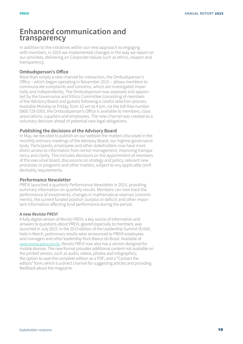### **Enhanced communication and transparency**

In addition to the initiatives within our new approach to engaging with members, in 2015 we implemented changes in the way we report on our activities, delivering on Corporate Values such as ethics, respect and transparency.

### **Ombudsperson's Office**

More than simply a new channel for interaction, the Ombudsperson's Office – which began operating in November 2015 – allows members to communicate complaints and concerns, which are investigated impartially and independently. The Ombudsperson was assessed and appointed by the Governance and Ethics Committee (consisting of members of the Advisory Board and guests) following a careful selection process. Available Monday to Friday, from 10 am to 4 pm, via the toll-free number 0800 729 0303, the Ombudsperson's Office is available to members, class associations, suppliers and employees. The new channel was created as a voluntary decision ahead of potential new legal obligations.

### **Publishing the decisions of the Advisory Board**

In May, we decided to publish on our website the matters discussed in the monthly ordinary meetings of the Advisory Board, our highest governance body. Participants, employees and other stakeholders now have more direct access to information from senior management, improving transparency and clarity. This includes decisions on the appointment of members of the executive board, discussions on strategy and policy, relevant new processes or programs and other matters, subject to any applicable confidentiality requirements.

### **Performance Newsletter**

PREVI launched a quarterly Performance Newsletter in 2015, providing summary information on quarterly results. Members can now track the performance of investments, changes in mathematical reserves (commitments), the current funded position (surplus or deficit) and other important information affecting fund performance during the period.

### **A new** *Revista PREVI*

A fully digital version of Revista PREVI, a key source of information and answers to questions about PREVI, geared especially to members, was launched in July 2015. In the 2015 edition of the Leadership Summit (Enlid), held in March, preliminary results were announced to PREVI employees and managers and other leadership from Banco do Brasil. Available at www.revista.previ.com.br, Revista PREVI now also has a version designed for mobile devices. The new format provides additional content not available on the printed version, such as audio, videos, photos and infographics; the option to save the complete edition as a PDF; and a "Contact the editors" form, which is a direct channel for suggesting articles and providing feedback about the magazine.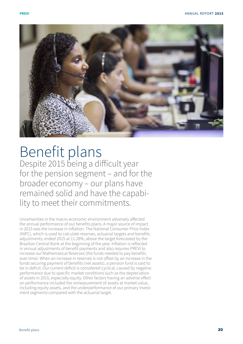

# Benefit plans Despite 2015 being a difficult year for the pension segment – and for the broader economy – our plans have remained solid and have the capabi lity to meet their commitments.

Uncertainties in the macro-economic environment adversely affected the annual performance of our benefits plans. A major source of impact in 2015 was the increase in inflation. The National Consumer Price Index (INPC), which is used to calculate reserves, actuarial targets and benefits adjustments, ended 2015 at 11.28%, above the target forecasted by the Brazilian Central Bank at the beginning of the year. Inflation is reflected in annual adjustments of benefit payments and also requires PREVI to increase our Mathematical Reserves (the funds needed to pay benefits over time). When an increase in reserves is not offset by an increase in the funds securing payment of benefits (net assets), a pension fund is said to be in deficit. Our current deficit is considered cyclical, caused by negative performance due to specific market conditions such as the depreciation of assets in 2015, especially equity. Other factors having an adverse effect on performance included the remeasurement of assets at market value, including equity assets, and the underperformance of our primary invest ment segments compared with the actuarial target.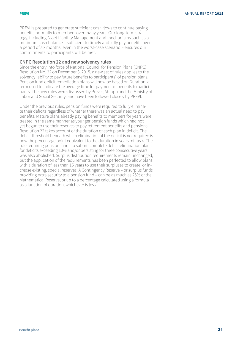PREVI is prepared to generate sufficient cash flows to continue paying benefits normally to members over many years. Our long-term strategy, including Asset Liability Management and mechanisms such as a minimum cash balance – sufficient to timely and fully pay benefits over a period of six months, even in the worst-case scenario – ensures our commitments to participants will be met.

### **CNPC Resolution 22 and new solvency rules**

Since the entry into force of National Council for Pension Plans (CNPC) Resolution No. 22 on December 3, 2015, a new set of rules applies to the solvency (ability to pay future benefits to participants) of pension plans. Pension fund deficit remediation plans will now be based on Duration, a term used to indicate the average time for payment of benefits to participants. The new rules were discussed by Previc, Abrapp and the Ministry of Labor and Social Security, and have been followed closely by PREVI.

Under the previous rules, pension funds were required to fully eliminate their deficits regardless of whether there was an actual need to pay benefits. Mature plans already paying benefits to members for years were treated in the same manner as younger pension funds which had not yet begun to use their reserves to pay retirement benefits and pensions. Resolution 22 takes account of the duration of each plan in deficit. The deficit threshold beneath which elimination of the deficit is not required is now the percentage point equivalent to the duration in years minus 4. The rule requiring pension funds to submit complete deficit elimination plans for deficits exceeding 10% and/or persisting for three consecutive years was also abolished. Surplus distribution requirements remain unchanged, but the application of the requirements has been perfected to allow plans with a duration of less than 15 years to use their surpluses to create, or increase existing, special reserves. A Contingency Reserve – or surplus funds providing extra security to a pension fund – can be as much as 25% of the Mathematical Reserve, or up to a percentage calculated using a formula as a function of duration, whichever is less.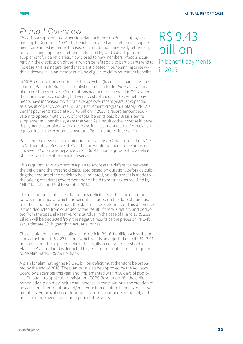# Plano 1 Overview

Plano 1 is a supplementary pension plan for Banco do Brasil employees hired up to December 1997. The benefits provided are a retirement supplement for planned retirement (based on contribution time, early retirement, or by age) and unplanned retirement (disability), and a death pension supplement for beneficiaries. Now closed to new members, Plano 1 is currently in the distribution phase, in which benefits paid to participants tend to increase; this is a natural trend that is anticipated in our planning since within a decade, all plan members will be eligible to claim retirement benefits.

In 2015, contributions continue to be collected (from participants and the sponsor, Banco do Brasil) as established in the rules for Plano 1, as a means of replenishing reserves. Contributions had been suspended in 2007 when the fund recorded a surplus, but were reestablished in 2014. Benefit payments have increased more than average over recent years, as expected as a result of Banco do Brasil's Early-Retirement Program. Notably, PREVI's benefit payments stood at R\$ 9.43 billion in 2015, a record amount equivalent to approximately 36% of the total benefits paid by Brazil's entire supplementary pension system that year. As a result of the increase in benefit payments, combined with a decrease in investment returns (especially in equity) due to the economic downturn, Plano 1 entered into deficit.

Based on the new deficit elimination rules, if Plano 1 had a deficit of 8.1%, its Mathematical Reserve of R\$ 11 billion would not need to be adjusted. However, Plano 1 was negative by R\$ 16.14 billion, equivalent to a deficit of 11.8% on the Mathematical Reserve.

This requires PREVI to prepare a plan to address the difference between the deficit and the threshold calculated based on duration. Before calculating the amount of the deficit to be eliminated, an adjustment is made to the pricing of federal government bonds held to maturity, as required by CNPC Resolution 16 of November 2014.

This resolution establishes that for any deficit or surplus, the difference between the price at which the securities traded on the date of purchase and the actuarial price under the plan must be determined. This difference is then deducted from or added to the result, if there is deficit, and deducted from the Special Reserve, for a surplus. In the case of Plano 1, R\$ 2.22 billion will be deducted from the negative results as the prices on PREVI's securities are 5% higher than actuarial prices.

The calculation is then as follows: the deficit (R\$ 16.14 billions) less the pricing adjustment (R\$ 2.22 billion), which yields an adjusted deficit (R\$ 13.91 million). From the adjusted deficit, the legally acceptable threshold for Plano 1 (R\$ 11 million) is deducted to yield the amount of deficit required to be eliminated (R\$ 2.91 billion).

A plan for eliminating the R\$ 2.91 billion deficit must therefore be prepared by the end of 2016. The plan must also be approved by the Advisory Board by December this year and implemented within 60 days of approval. Pursuant to applicable legislation (CGPC Resolution 26), the deficit remediation plan may include an increase in contributions, the creation of an additional contribution and/or a reduction of future benefits for active members. Amortization contributions can be linear or decremental, and must be made over a maximum period of 18 years.

# R\$ 9.43 billion in benefit payments in 2015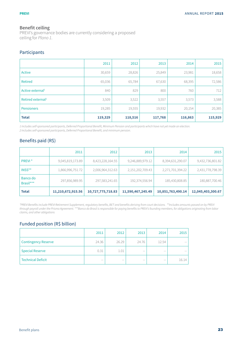### **Benefit ceiling**

PREVI's governance bodies are currently considering a proposed ceiling for Plano 1.

### Participants

|                               | 2011    | 2012    | 2013    | 2014    | 2015    |
|-------------------------------|---------|---------|---------|---------|---------|
| Active                        | 30,659  | 28,826  | 25,849  | 23,981  | 18,658  |
| <b>Retired</b>                | 65,036  | 65,784  | 67,630  | 68,395  | 72,586  |
| Active external <sup>1</sup>  | 840     | 829     | 800     | 760     | 712     |
| Retired external <sup>2</sup> | 3,509   | 3,522   | 3,557   | 3,573   | 3,588   |
| <b>Pensioners</b>             | 19,285  | 19,555  | 19,932  | 20,154  | 20,385  |
| <b>Total</b>                  | 119,329 | 118,516 | 117,768 | 116,863 | 115,929 |

1 Includes self-sponsored participants, Deferred Proportional Benefit, Minimum Pension and participants which have not yet made an election. 2 Includes self-sponsored participants, Deferred Proportional Benefit, and minimum pension.

### Benefits paid (R\$)

|                       | 2011              | 2012              | 2013              | 2014              | 2015              |
|-----------------------|-------------------|-------------------|-------------------|-------------------|-------------------|
| PREVI <sup>*</sup>    | 9,045,819,173.89  | 8,423,228,164.55  | 9,246,889,979.12  | 8,394,631,290.07  | 9,432,736,801.82  |
| INSS**                | 1,866,996,751.72  | 2,006,964,312.63  | 2,151,202,709.43  | 2,271,701,394.22  | 2,431,778,798.39  |
| Banco do<br>Brasil*** | 297,856,989.95    | 297,583,241.65    | 192,374,556.94    | 185,430,808.85    | 180,887,700.46    |
| <b>Total</b>          | 11,210,672,915.56 | 10,727,775,718.83 | 11,590,467,245.49 | 10,851,763,490.14 | 12,045,403,300.67 |

\*PREVI Benefits include PREVI Retirement Supplement, regulatory benefits, BET and benefits deriving from court decisions. \*\*Includes amounts passed on by PREVI through payroll under the Prisma Agreement. \*\*\*Banco do Brasil is responsible for paying benefits to PREVI's founding members, for obligations originating from labor claims, and other obligations

### Funded position (R\$ billion)

|                            | 2011       | 2012  | 2013   | 2014          | 2015  |
|----------------------------|------------|-------|--------|---------------|-------|
| <b>Contingency Reserve</b> | 24.36      | 26.29 | 24.76  | 12.54         | $- -$ |
| <b>Special Reserve</b>     | 0.31       | 1.01  | $\sim$ | $\sim$ $\sim$ | $- -$ |
| <b>Technical Deficit</b>   | $\sim$ $-$ | $-$   | $- -$  | $- -$         | 16.14 |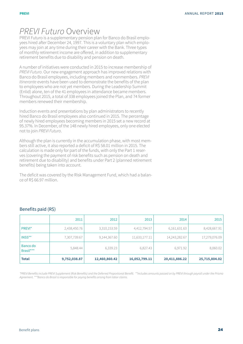## PREVI Futuro Overview

PREVI Futuro is a supplementary pension plan for Banco do Brasil employees hired after December 24, 1997. This is a voluntary plan which employees may join at any time during their career with the Bank. Three types of monthly retirement income are offered, in addition to supplementary retirement benefits due to disability and pension on death.

A number of initiatives were conducted in 2015 to increase membership of PREVI Futuro. Our new engagement approach has improved relations with Banco do Brasil employees, including members and nonmembers. PREVI *Itinerante* events have been used to demonstrate the benefits of the plan to employees who are not yet members. During the Leadership Summit (Enlid) alone, ten of the 41 employees in attendance became members. Throughout 2015, a total of 338 employees joined the Plan, and 74 former members renewed their membership.

Induction events and presentations by plan administrators to recently hired Banco do Brasil employees also continued in 2015. The percentage of newly hired employees becoming members in 2015 set a new record at 95.37%. In December, of the 148 newly hired employees, only one elected not to join PREVI Futuro.

Although the plan is currently in the accumulation phase, with most members still active, it also reported a deficit of R\$ 58.01 million in 2015. The calculation is made only for part of the funds, with only the Part 1 reserves (covering the payment of risk benefits such as pension on death and retirement due to disability) and benefits under Part 2 (planned retirement benefits) being taken into account.

The deficit was covered by the Risk Management Fund, which had a balance of R\$ 66.97 million.

|                       | 2011         | 2012          | 2013          | 2014          | 2015          |
|-----------------------|--------------|---------------|---------------|---------------|---------------|
| PREVI <sup>*</sup>    | 2,438,450.76 | 3,310,153.59  | 4,412,794.57  | 6,161,631.63  | 8,428,667.91  |
| INSS**                | 7,307,739.67 | 9,144,367.60  | 11,633,177.11 | 14,243,282.67 | 17,279,076.09 |
| Banco do<br>Brasil*** | 5,848.44     | 6,339.23      | 6,827.43      | 6,971.92      | 8,060.02      |
| <b>Total</b>          | 9,752,038.87 | 12,460,860.42 | 16,052,799.11 | 20,411,886.22 | 25,715,804.02 |

### Benefits paid (R\$)

\*PREVI Benefits include PREVI Supplement (Risk Benefits) and the Deferred Proportional Benefit. \*\*Includes amounts passed on by PREVI through payroll under the Prisma Agreement. \*\*\*Banco do Brasil is responsible for paying benefits arising from labor claims.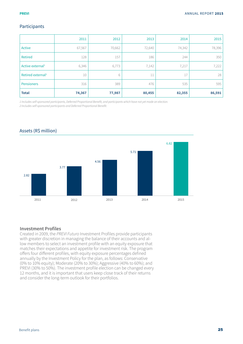### Participants

|                               | 2011   | 2012   | 2013   | 2014   | 2015   |
|-------------------------------|--------|--------|--------|--------|--------|
| Active                        | 67,567 | 70,662 | 72,640 | 74,342 | 78,396 |
| <b>Retired</b>                | 128    | 157    | 186    | 244    | 350    |
| Active external <sup>1</sup>  | 6,346  | 6,773  | 7,142  | 7,217  | 7,222  |
| Retired external <sup>2</sup> | 10     | 6      | 11     | 17     | 28     |
| <b>Pensioners</b>             | 316    | 389    | 476    | 535    | 595    |
| <b>Total</b>                  | 74,367 | 77,987 | 80,455 | 82,355 | 86,591 |

1 Includes self-sponsored participants, Deferred Proportional Benefit, and participants which have not yet made an election. 2 Includes self-sponsored participants and Deferred Proportional Benefit.

2.82 3.77 4.56 5.71 6.82 2011 2012 2013 2013 2014 2015

### Assets (R\$ million)

### **Investment Profiles**

Created in 2009, the PREVI Futuro Investment Profiles provide participants with greater discretion in managing the balance of their accounts and allow members to select an investment profile with an equity exposure that matches their expectations and appetite for investment risk. The program offers four different profiles, with equity exposure percentages defined annually by the Investment Policy for the plan, as follows: Conservative (0% to 10% equity); Moderate (20% to 30%); Aggressive (40% to 60%); and PREVI (30% to 50%). The investment profile election can be changed every 12 months, and it is important that users keep close track of their returns and consider the long-term outlook for their portfolios.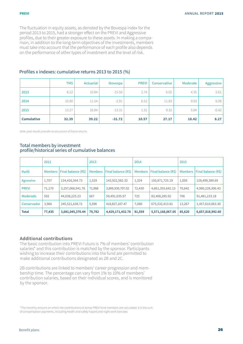The fluctuation in equity assets, as denoted by the Bovespa index for the period 2013 to 2015, had a stronger effect on the PREVI and Aggressive profiles, due to their greater exposure to these assets. In making a comparison, in addition to the long-term objectives of the investments, members must take into account that the performance of each profile also depends on the performance of other types of investment and the level of risk.

|                   | <b>TMS</b> | Actuarial | Ibovespa | <b>PREVI</b> | Conservative | Moderate | Aggressive |
|-------------------|------------|-----------|----------|--------------|--------------|----------|------------|
| 2013              | 8.22       | 10.84     | $-15.50$ | 2.74         | 6.02         | 4.35     | 2.61       |
| 2014              | 10.90      | 11.54     | $-2.91$  | 6.52         | 11.83        | 9.03     | 6.08       |
| 2015              | 13.27      | 16.84     | $-13.31$ | 1.31         | 9.32         | 5.04     | $-0.42$    |
| <b>Cumulative</b> | 32.39      | 39.22     | $-31.72$ | 10.57        | 27.17        | 18.42    | 8.27       |

### Profiles x indexes: cumulative returns 2013 to 2015 (%)

Note: past results provide no assurance of future returns.

### Total members by investment profile/historical series of cumulative balances

|              | 2012           |                     | 2013           |                     | 2014           |                     | 2015           |                     |
|--------------|----------------|---------------------|----------------|---------------------|----------------|---------------------|----------------|---------------------|
| Perfil       | <b>Members</b> | Final balance (R\$) | <b>Members</b> | Final balance (R\$) | <b>Members</b> | Final balance (R\$) | <b>Members</b> | Final balance (R\$) |
| Agressivo    | 1,707          | 134,416,564.73      | 1,529          | 143,922,582.32      | 1,324          | 150,871,725.19      | 1,005          | 128,499,389.69      |
| <b>PREVI</b> | 71,170         | 3,257,068,941.76    | 71,988         | 3,806,930,707.02    | 72,430         | 4,661,355,642.13    | 70,642         | 4,980,228,306.43    |
| Moderado     | 592            | 44,038,225.23       | 667            | 59,491,035.97       | 725            | 83,408,285.92       | 706            | 91,481,233.18       |
| Conservador  | 3,966          | 245,521,638.72      | 5,598          | 418,827,107.47      | 7,080          | 675,532,413.81      | 13,267         | 1,457,610,063.30    |
| <b>Total</b> | 77,435         | 3,681,045,370.44    | 79,782         | 4,429,171,432.78    | 81,559         | 5,571,168,067.05    | 85,620         | 6,657,818,992.60    |

### **Additional contributions**

The basic contribution into PREVI Futuro is 7% of members' contribution salaries\* and this contribution is matched by the sponsor. Participants wishing to increase their contributions into the fund are permitted to make additional contributions designated as 2B and 2C.

2B contributions are linked to members' career progression and membership time. The percentage can vary from 1% to 10% of members' contribution salaries, based on their individual scores, and is monitored by the sponsor.

\*The monthly amount on which the contributions of active PREVI fund members are calculated. It is the sum of compensation payments, including health and safety hazard and night work bonuses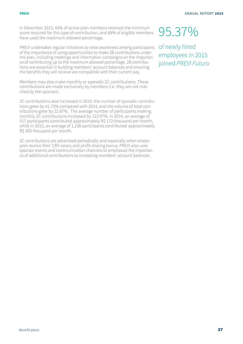In December 2015, 43% of active plan members received the minimum score required for this type of contribution, and 89% of eligible members have used the maximum allowed percentage.

PREVI undertakes regular initiatives to raise awareness among participants of the importance of using opportunities to make 2B contributions under the plan, including meetings and information campaigns on the importance of contributing up to the maximum allowed percentage. 2B contributions are essential in building members' account balances and ensuring the benefits they will receive are compatible with their current pay.

Members may also make monthly or sporadic 2C contributions. These contributions are made exclusively by members (i.e. they are not matched by the sponsor).

2C contributions also increased in 2015: the number of sporadic contributions grew by 41.75% compared with 2014, and the volume of total contributions grew by 22.87%. The average number of participants making monthly 2C contributions increased by 123.97%. In 2014, an average of 517 participants contributed approximately R\$ 172 thousand per month, while in 2015, an average of 1,158 participants contributed approximately R\$ 300 thousand per month.

2C contributions are advertised periodically and especially when employees receive their 13th salary and profit-sharing bonus. PREVI also uses sponsor events and communication channels to emphasize the importance of additional contributions to increasing members' account balances.

# 95.37%

of newly hired employees in 2015 joined PREVI Futuro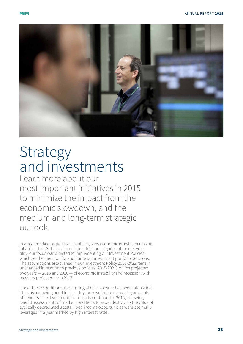

# **Strategy** and investments

Learn more about our most important initiatives in 2015 to minimize the impact from the economic slowdown, and the medium and long-term strategic outlook.

In a year marked by political instability, slow economic growth, increasing inflation, the US dollar at an all-time high and significant market vola tility, our focus was directed to implementing our Investment Policies, which set the direction for and frame our investment portfolio decisions. The assumptions established in our Investment Policy 2016-2022 remain unchanged in relation to previous policies (2015-2021), which projected two years — 2015 and 2016 — of economic instability and recession, with recovery projected from 2017.

Under these conditions, monitoring of risk exposure has been intensified. There is a growing need for liquidity for payment of increasing amounts of benefits. The divestment from equity continued in 2015, following careful assessments of market conditions to avoid destroying the value of cyclically depreciated assets. Fixed income opportunities were optimally leveraged in a year marked by high interest rates.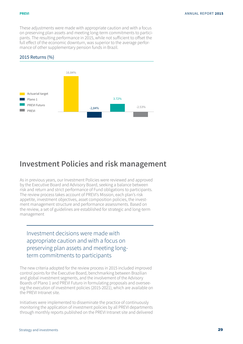#### **previ**

These adjustments were made with appropriate caution and with a focus on preserving plan assets and meeting long-term commitments to participants. The resulting performance in 2015, while not sufficient to offset the full effect of the economic downturn, was superior to the average performance of other supplementary pension funds in Brazil.

### 2015 Returns (%)



### **Investment Policies and risk management**

As in previous years, our Investment Policies were reviewed and approved by the Executive Board and Advisory Board, seeking a balance between risk and return and strict performance of Fund obligations to participants. The review process takes account of PREVI's Mission, each plan's risk appetite, investment objectives, asset composition policies, the investment management structure and performance assessments. Based on the review, a set of guidelines are established for strategic and long-term management

Investment decisions were made with appropriate caution and with a focus on preserving plan assets and meeting longterm commitments to participants

The new criteria adopted for the review process in 2015 included improved control points for the Executive Board, benchmarking between Brazilian and global investment segments, and the involvement of the Advisory Boards of Plano 1 and PREVI Futuro in formulating proposals and overseeing the execution of investment policies (2015-2021), which are available on the PREVI Intranet site.

Initiatives were implemented to disseminate the practice of continuously monitoring the application of investment policies by all PREVI departments through monthly reports published on the PREVI Intranet site and delivered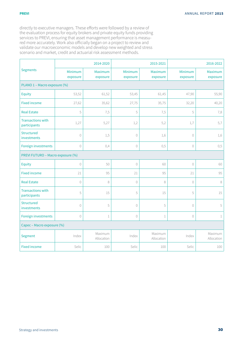#### **previ**

directly to executive managers. These efforts were followed by a review of the evaluation process for equity brokers and private equity funds providing services to PREVI, ensuring that asset management performance is measured more accurately. Work also officially began on a project to review and validate our macroeconomic models and develop new weighted and stress scenario and market, credit and actuarial risk assessment methods.

|                                          |                     | 2014-2020             |                     | 2015-2021             |                     | 2016-2022             |
|------------------------------------------|---------------------|-----------------------|---------------------|-----------------------|---------------------|-----------------------|
| <b>Segments</b>                          | Minimum<br>exposure | Maximum<br>exposure   | Minimum<br>exposure | Maximum<br>exposure   | Minimum<br>exposure | Maximum<br>exposure   |
| PLANO 1 - Macro exposure (%)             |                     |                       |                     |                       |                     |                       |
| Equity                                   | 53,52               | 61,52                 | 53,45               | 61,45                 | 47,90               | 55,90                 |
| <b>Fixed income</b>                      | 27,62               | 35,62                 | 27,75               | 35,75                 | 32,20               | 40,20                 |
| <b>Real Estate</b>                       | 5                   | 7,5                   | 5                   | 7,5                   | 5                   | 7,8                   |
| <b>Transactions with</b><br>participants | 1,27                | 5,27                  | 1,2                 | 5,2                   | 1,7                 | 5,7                   |
| Structured<br>investments                | $\overline{0}$      | 1,5                   | $\mathbb O$         | 1,6                   | $\overline{0}$      | 1,6                   |
| Foreign investments                      | $\bigcirc$          | 0,4                   | $\bigcirc$          | 0,5                   | $\bigcirc$          | 0,5                   |
| PREVI FUTURO - Macro exposure (%)        |                     |                       |                     |                       |                     |                       |
| Equity                                   | $\mathbb O$         | 50                    | $\bigcirc$          | 60                    | $\circledcirc$      | 60                    |
| <b>Fixed income</b>                      | 21                  | 95                    | 21                  | 95                    | 21                  | 95                    |
| <b>Real Estate</b>                       | $\mathbb O$         | 8                     | $\mathbf{0}$        | $\,8\,$               | $\mathbf{0}$        | $\,8\,$               |
| <b>Transactions with</b><br>participants | 5                   | 15                    | 5                   | 15                    | 5                   | 15                    |
| <b>Structured</b><br>investments         | $\bigcirc$          | 5                     | $\overline{0}$      | 5                     | $\overline{0}$      | 5                     |
| Foreign investments                      | $\bigcirc$          | $1\,$                 | $\mathbf{0}$        | $1\,$                 | $\circledcirc$      | $1\,$                 |
| Capec - Macro exposure (%)               |                     |                       |                     |                       |                     |                       |
| Segment                                  | Index               | Maximum<br>Allocation | Index               | Maximum<br>Allocation | Index               | Maximum<br>Allocation |
| <b>Fixed income</b>                      | Selic               | 100                   | Selic               | 100                   | Selic               | 100                   |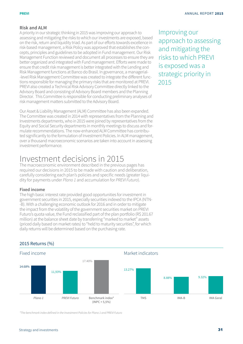### **Risk and ALM**

A priority in our strategic thinking in 2015 was improving our approach to assessing and mitigating the risks to which our investments are exposed, based on the risk, return and liquidity triad. As part of our efforts towards excellence in risk-based management, a Risk Policy was approved that establishes the concepts, principles and guidelines to be adopted in Fund management. Our Risk Management Function reviewed and document all processes to ensure they are better organized and integrated with Fund management. Efforts were made to ensure that credit risk management is better integrated with the Lending and Risk Management functions at Banco do Brasil. In governance, a managerial- -level Risk Management Committee was created to integrate the different functions responsible for managing the primary risks that are monitored at PREVI. PREVI also created a Technical Risk Advisory Committee directly linked to the Advisory Board and consisting of Advisory Board members and the Planning Director. This Committee is responsible for conducting preliminary analyses of risk management matters submitted to the Advisory Board.

Our Asset & Liability Management (ALM) Committee has also been expanded. The Committee was created in 2014 with representatives from the Planning and Investments departments, who in 2015 were joined by representatives from the Equity and Social Security departments in monthly meetings to discuss and formulate recommendations. The now-enhanced ALM Committee has contributed significantly to the formulation of Investment Policies. In ALM management, over a thousand macroeconomic scenarios are taken into account in assessing investment performance.

## Investment decisions in 2015

The macroeconomic environment described in the previous pages has required our decisions in 2015 to be made with caution and deliberation, carefully considering each plan's policies and specific needs (greater liquidity for payments under Plano 1 and accumulation for PREVI Futuro).

### **Fixed income**

2015 Returns (%)

The high basic interest rate provided good opportunities for investment in government securities in 2015, especially securities indexed to the IPCA (NTN- -B). With a challenging economic outlook for 2016 and in order to mitigate the impact from the volatility of the government securities market on PREVI Futuro's quota value, the Fund reclassified part of the plan portfolio (R\$ 201.67 million) at the balance sheet date by transferring "marked to market" assets (priced daily based on market rates) to "held to maturity securities", for which daily returns will be determined based on the purchasing rate.

### *PREVI Futuro* Benchmark index\*  $(INPC + 5,5%)$ Fixed income Market indicators *Plano 1* 14.68% 11,93% 17.40% 13.27% 8.88% 9.32% TMS IMA-B IMA-B IMA Geral

\*The benchmark index defined in the Investment Policies for Plano 1 and PREVI Futuro

Improving our approach to assessing and mitigating the risks to which PREVI is exposed was a strategic priority in 2015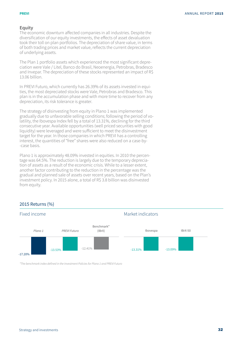#### **previ**

### **Equity**

The economic downturn affected companies in all industries. Despite the diversification of our equity investments, the effects of asset devaluation took their toll on plan portfolios. The depreciation of share value, in terms of both trading prices and market value, reflects the current depreciation of underlying assets.

The Plan 1 portfolio assets which experienced the most significant depreciation were Vale / Litel, Banco do Brasil, Neoenergia, Petrobras, Bradesco and Invepar. The depreciation of these stocks represented an impact of R\$ 13.06 billion.

In PREVI Futuro, which currently has 26.39% of its assets invested in equities, the most depreciated stocks were Vale, Petrobras and Bradesco. This plan is in the accumulation phase and with more time to recover from any depreciation, its risk tolerance is greater.

The strategy of disinvesting from equity in Plano 1 was implemented gradually due to unfavorable selling conditions; following the period of volatility, the Ibovespa Index fell by a total of 13.31%, declining for the third consecutive year. Available opportunities (well priced securities with good liquidity) were leveraged and were sufficient to meet the disinvestment target for the year. In those companies in which PREVI has a controlling interest, the quantities of "free" shares were also reduced on a case-by- -case basis.

Plano 1 is approximately 48.09% invested in equities. In 2010 the percentage was 64.5%. The reduction is largely due to the temporary depreciation of assets as a result of the economic crisis. While to a lesser extent, another factor contributing to the reduction in the percentage was the gradual and planned sale of assets over recent years, based on the Plan's investment policy. In 2015 alone, a total of R\$ 3.8 billion was disinvested from equity.

### 2015 Returns (%)



\*The benchmark index defined in the Investment Policies for Plano 1 and PREVI Futuro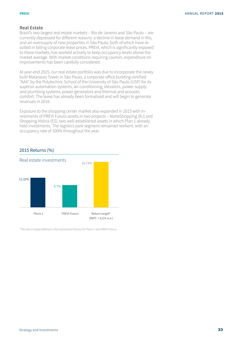### **Real Estate**

Brazil's two largest real estate markets – Rio de Janeiro and São Paulo – are currently depressed for different reasons: a decline in lease demand in Rio, and an oversupply of new properties in São Paulo, both of which have resulted in falling corporate lease prices. PREVI, which is significantly exposed to these markets, has worked actively to keep occupancy levels above the market average. With market conditions requiring caution, expenditure on improvements has been carefully considered.

At year-end 2015, our real estate portfolio was due to incorporate the newly built Matarazzo Tower in São Paulo, a corporate office building certified "AAA" by the Polytechnic School of the University of São Paulo (USP) for its superior automation systems, air-conditioning, elevators, power supply and plumbing systems, power generators and thermal and acoustic comfort. The lease has already been formalized and will begin to generate revenues in 2016.

Exposure to the shopping center market also expanded in 2015 with investments of PREVI Futuro assets in two projects – NorteShopping (RJ) and Shopping Vitória (ES), two well-established assets in which Plan 1 already held investments. The logistics park segment remained resilient, with an occupancy rate of 100% throughout the year.

### 2015 Returns (%)



\*The return target defined in the Investment Policies for Plano 1 and PREVI Futuro.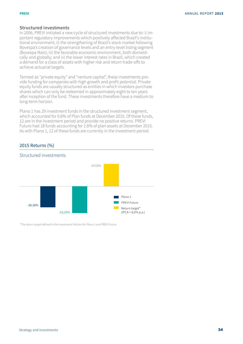### **Structured investments**

In 2006, PREVI initiated a new cycle of structured investments due to: i) important regulatory improvements which positively affected Brazil's institutional environment; ii) the strengthening of Brazil's stock market following Bovespa's creation of governance levels and an entry-level listing segment (Bovespa Mais); iii) the favorable economic environment, both domestically and globally; and iv) the lower interest rates in Brazil, which created a demand for a class of assets with higher risk and return trade-offs to achieve actuarial targets.

Termed as "private equity" and "venture capital", these investments provide funding for companies with high growth and profit potential. Private equity funds are usually structured as entities in which investors purchase shares which can only be redeemed in approximately eight to ten years after inception of the fund. These investments therefore have a medium to long-term horizon.

Plano 1 has 29 investment funds in the structured investment segment, which accounted for 0.6% of Plan funds at December 2015. Of these funds, 12 are in the investment period and provide no positive returns. PREVI Futuro had 18 funds accounting for 1.6% of plan assets at December 2015. As with Plano 1, 12 of these funds are currently in the investment period.

### 2015 Returns (%)



\*The return target defined in the Investment Policies for Plano 1 and PREVI Futuro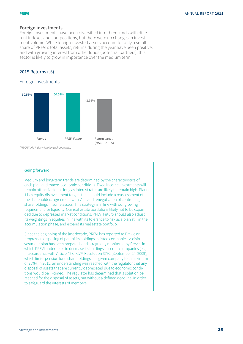#### **previ**

### **Foreign investments**

Foreign investments have been diversified into three funds with different indexes and compositions, but there were no changes in investment volume. While foreign-invested assets account for only a small share of PREVI's total assets, returns during the year have been positive, and with growing interest from other funds (potential partners), this sector is likely to grow in importance over the medium term.

### 2015 Returns (%)

### Foreign investments



\*MSCI World Index + foreign exchange rate.

### **Going forward**

Medium and long-term trends are determined by the characteristics of each plan and macro-economic conditions. Fixed income investments will remain attractive for as long as interest rates are likely to remain high. Plano 1 has equity disinvestment targets that should include a reassessment of the shareholders agreement with Vale and renegotiation of controlling shareholdings in some assets. This strategy is in line with our growing requirement for liquidity. Our real estate portfolio is likely not to be expanded due to depressed market conditions. PREVI Futuro should also adjust its weightings in equities in line with its tolerance to risk as a plan still in the accumulation phase, and expand its real estate portfolio.

Since the beginning of the last decade, PREVI has reported to Previc on progress in disposing of part of its holdings in listed companies. A disinvestment plan has been prepared, and is regularly monitored by Previc, in which PREVI undertakes to decrease its holdings in certain companies (e.g. in accordance with Article 42 of CVM Resolution 3792 (September 24, 2009), which limits pension fund shareholdings in a given company to a maximum of 25%). In 2015, an understanding was reached with the regulator that any disposal of assets that are currently depreciated due to economic conditions would be ill-timed. The regulator has determined that a solution be reached for the disposal of assets, but without a defined deadline, in order to safeguard the interests of members.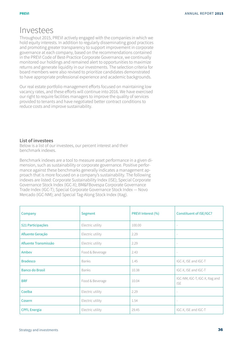## Investees

Throughout 2015, PREVI actively engaged with the companies in which we hold equity interests. In addition to regularly disseminating good practices and promoting greater transparency to support improvement in corporate governance at each company, based on the recommendations contained in the PREVI Code of Best-Practice Corporate Governance, we continually monitored our holdings and remained alert to opportunities to maximize returns and generate liquidity in our investments. The selection criteria for board members were also revised to prioritize candidates demonstrated to have appropriate professional experience and academic backgrounds.

Our real estate portfolio management efforts focused on maintaining low vacancy rates, and these efforts will continue into 2016. We have exercised our right to require facilities managers to improve the quality of services provided to tenants and have negotiated better contract conditions to reduce costs and improve sustainability.

### **List of investees**

Below is a list of our investees, our percent interest and their benchmark indexes.

Benchmark indexes are a tool to measure asset performance in a given dimension, such as sustainability or corporate governance. Positive performance against these benchmarks generally indicates a management approach that is more focused on a company's sustainability. The following indexes are listed: Corporate Sustainability Index (ISE); Special Corporate Governance Stock Index (IGC-X); BM&FBovespa Corporate Governance Trade Index (IGC-T); Special Corporate Governance Stock Index — Novo Mercado (IGC-NM); and Special Tag-Along Stock Index (Itag).

| Company                | Segment          | PREVI Interest (%) | Constituent of ISE/IGC?                      |
|------------------------|------------------|--------------------|----------------------------------------------|
| 521 Participações      | Electric utility | 100.00             | $\overline{\phantom{a}}$                     |
| Afluente Geração       | Electric utility | 2.29               | $\sim$                                       |
| Afluente Transmissão   | Electric utility | 2.29               | $\overline{\phantom{a}}$                     |
| Ambey                  | Food & Beverage  | 2.43               | $\overline{\phantom{a}}$                     |
| <b>Bradesco</b>        | <b>Banks</b>     | 1.45               | IGC-X, ISE and IGC-T                         |
| <b>Banco do Brasil</b> | <b>Banks</b>     | 10.38              | IGC-X, ISE and IGC-T                         |
| <b>BRF</b>             | Food & Beverage  | 10.04              | IGC-NM, IGC-T, IGC-X, Itag and<br><b>ISE</b> |
| Coelba                 | Electric utility | 2.29               | $\overline{\phantom{a}}$                     |
| Cosern                 | Electric utility | 1.54               | $\sim$                                       |
| <b>CPFL Energia</b>    | Electric utility | 29.45              | IGC-X, ISE and IGC-T                         |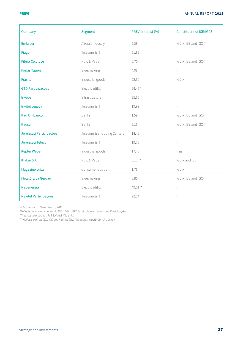| Company                  | Segment                    | PREVI Interest (%) | Constituent of ISE/IGC?  |
|--------------------------|----------------------------|--------------------|--------------------------|
| Embraer                  | Aircraft industry          | 5.08               | IGC-X, ISE and IGC-T     |
| Fiago                    | Telecom & IT               | 51.89              |                          |
| <b>Fibria Celulose</b>   | Pulp & Paper               | 0.70               | IGC-X, ISE and IGC-T     |
| <b>Forjas Taurus</b>     | Steelmaking                | 4.08               | ÷,                       |
| Fras-le                  | Industrial goods           | 22.50              | IGC-X                    |
| <b>GTD Participações</b> | Electric utility           | $24.45*$           | $\overline{a}$           |
| Invepar                  | Infrastructure             | 25.56              | ÷.                       |
| <b>Invitel Legacy</b>    | Telecom & IT               | 19.99              |                          |
| Itaú Unibanco            | Banks                      | 1.59               | IGC-X, ISE and IGC-T     |
| Itaúsa                   | <b>Banks</b>               | 2.15               | IGC-X, ISE and IGC-T     |
| Jereissati Participações | Telecom & Shopping Centers | 18.42              | $\frac{1}{2}$            |
| Jereissati Telecom       | Telecom & IT               | 19.78              | $\overline{\phantom{a}}$ |
| <b>Kepler Weber</b>      | Industrial goods           | 17.48              | Itag                     |
| Klabin S.A.              | Pulp & Paper               | $0.11**$           | IGC-X and ISE            |
| <b>Magazine Luiza</b>    | Consumer Goods             | 1.76               | $IGC-X$                  |
| Metalúrgica Gerdau       | Steelmaking                | 0.80               | IGC-X, ISE and IGC-T     |
| Neoenergia               | Electric utility           | 49.01***           | $\overline{\phantom{a}}$ |
| Newtel Participações     | Telecom & IT               | 22.54              |                          |

Note: position at December 31, 2015.

\*Reflects an indirect interest via BNY Mellon GTD Fundo de Investimento em Participações.

\*\*Interest held through 705,600 KLB N11 units.

\*\*\*Reflects a direct (22.24%) and indirect (26.77%) interest via BB Carteira Livre I.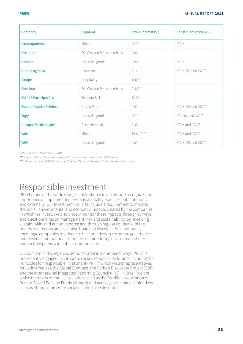| Company                 | Segment                     | PREVI Interest (%) | Constituent of ISE/IGC?  |
|-------------------------|-----------------------------|--------------------|--------------------------|
| Paranapanema            | Mining                      | 23.96              | IGC-X                    |
| <b>Petrobras</b>        | Oil, Gas and Petrochemicals | 2.82               | $\overline{\phantom{a}}$ |
| Randon                  | Industrial goods            | 6.80               | IGC-X                    |
| Rumo Logística          | Infrastructure              | 2.12               | IGC-X, ISE and IGC-T     |
| Sauípe                  | Hospitality                 | 100.00             | $\overline{\phantom{a}}$ |
| <b>Sete Brasil</b>      | Oil, Gas and Petrochemicals | $2.30***$          | $\overline{\phantom{a}}$ |
| Sul 116 Participações   | Telecom & IT                | 10.91              |                          |
| Suzano Papel e Celulose | Pulp & Paper                | 0.41               | IGC-X, ISE and IGC-T     |
| Tupy                    | Industrial goods            | 26.19              | IGC-NM and IGC-T         |
| Ultrapar Participações  | Petrochemicals              | 5.35               | IGC-X and IGC-T          |
| Vale                    | Mining                      | $15.64***$         | IGC-X and IGC-T          |
| <b>WEG</b>              | Industrial goods            | 0.07               | IGC-X, ISE and IGC-T     |

Note: position at December 31, 2015.

\*\*\*\*Interest held via Fundo de Investimentos em Participações Sondas (FIP Sondas).

\*\*\*\*\*Reflects a direct (PREVI Futuro) and indirect (Plano 1) interest, including redeemable shares.

# Responsible investment

PREVI is one of the world's largest institutional investors and recognizes the importance of implementing best sustainability practices both internally and externally. Our Investment Policies include a requirement to monitor the social, environmental and economic impacts created by the companies in which we invest. We also closely monitor these impacts through surveys and questionnaires on management, risk and sustainability; by reviewing sustainability and annual reports; and through regular contact with the boards of directors and executive boards of investees. We continually encourage companies to adhere to best practices in corporate governance and observe international standards on monitoring environmental risks and on transparency in public communications.

Our concern in this regard is demonstrated in a number of ways. PREVI is prominently engaged in corporate social responsibility forums including the Principles for Responsible Investment (PRI, in which we are representatives for Latin America), the Global Compact, the Carbon Disclosure Project (CDP) and the International Integrated Reporting Council (IIRC). In Brazil, we are active members of trade associations such as the Brazilian Association of Private Closed Pension Funds (Abrapp) and actively participate in initiatives such as Ethos, a corporate social responsibility Institute.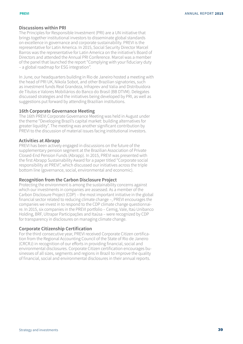### **Discussions within PRI**

The Principles for Responsible Investment (PRI) are a UN initiative that brings together institutional investors to disseminate global standards on excellence in governance and corporate sustainability. PREVI is the representative for Latin America. In 2015, Social Security Director Marcel Barros was the representative for Latin America on the initiative's Board of Directors and attended the Annual PRI Conference. Marcel was a member of the panel that launched the report "Complying with your fiduciary duty – a global roadmap for ESG integration".

In June, our headquarters building in Rio de Janeiro hosted a meeting with the head of PRI UK, Nikola Sobot, and other Brazilian signatories, such as investment funds Real Grandeza, Infraprev and Valia and Distribuidora de Títulos e Valores Mobiliários do Banco do Brasil (BB DTVM). Delegates discussed strategies and the initiatives being developed by PRI, as well as suggestions put forward by attending Brazilian institutions.

### **16th Corporate Governance Meeting**

The 16th PREVI Corporate Governance Meeting was held in August under the theme "Developing Brazil's capital market: building alternatives for greater liquidity". The meeting was another significant contribution by PREVI to the discussion of material issues facing institutional investors.

### **Activities at Abrapp**

PREVI has been actively engaged in discussions on the future of the supplementary pension segment at the Brazilian Association of Private Closed-End Pension Funds (Abrapp). In 2015, PREVI was presented with the first Abrapp Sustainability Award for a paper titled "Corporate social responsibility at PREVI", which discussed our initiatives across the triple bottom line (governance, social, environmental and economic).

### **Recognition from the Carbon Disclosure Project**

Protecting the environment is among the sustainability concerns against which our investments in companies are assessed. As a member of the Carbon Disclosure Project (CDP) – the most important initiative in the global financial sector related to reducing climate change –, PREVI encourages the companies we invest in to respond to the CDP climate change questionnaire. In 2015, six companies in the PREVI portfolio – Cemig, Vale, Itaú Unibanco Holding, BRF, Ultrapar Participações and Itaúsa – were recognized by CDP for transparency in disclosures on managing climate change.

### **Corporate Citizenship Certification**

For the third consecutive year, PREVI received Corporate Citizen certification from the Regional Accounting Council of the State of Rio de Janeiro (CRCRJ) in recognition of our efforts in providing financial, social and environmental disclosures. Corporate Citizen certification encourages businesses of all sizes, segments and regions in Brazil to improve the quality of financial, social and environmental disclosures in their annual reports.